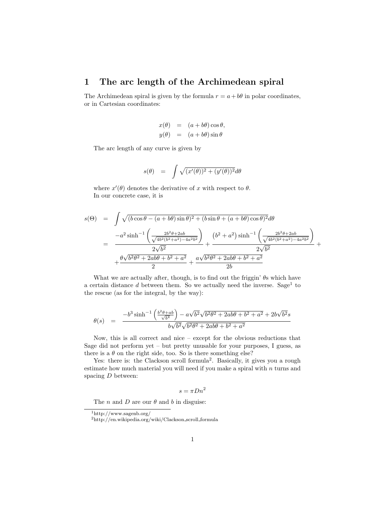## 1 The arc length of the Archimedean spiral

The Archimedean spiral is given by the formula  $r = a + b\theta$  in polar coordinates, or in Cartesian coordinates:

$$
x(\theta) = (a+b\theta)\cos\theta,
$$
  

$$
y(\theta) = (a+b\theta)\sin\theta
$$

The arc length of any curve is given by

$$
s(\theta) = \int \sqrt{(x'(\theta))^2 + (y'(\theta))^2} d\theta
$$

where  $x'(\theta)$  denotes the derivative of x with respect to  $\theta$ . In our concrete case, it is

$$
s(\Theta) = \int \sqrt{(b\cos\theta - (a+b\theta)\sin\theta)^2 + (b\sin\theta + (a+b\theta)\cos\theta)^2}d\theta
$$
  
= 
$$
\frac{-a^2\sinh^{-1}\left(\frac{2b^2\theta + 2ab}{\sqrt{4b^2(b^2+a^2)-4a^2b^2}}\right)}{2\sqrt{b^2}} + \frac{(b^2+a^2)\sinh^{-1}\left(\frac{2b^2\theta + 2ab}{\sqrt{4b^2(b^2+a^2)-4a^2b^2}}\right)}{2\sqrt{b^2}} + \frac{\theta\sqrt{b^2\theta^2 + 2ab\theta + b^2 + a^2}}{2} + \frac{a\sqrt{b^2\theta^2 + 2ab\theta + b^2 + a^2}}{2b}
$$

What we are actually after, though, is to find out the friggin'  $\theta$ s which have a certain distance  $d$  between them. So we actually need the inverse. Sage<sup>1</sup> to the rescue (as for the integral, by the way):

$$
\theta(s) = \frac{-b^3 \sinh^{-1} \left(\frac{b^2 \theta + ab}{\sqrt{b^4}}\right) - a\sqrt{b^2} \sqrt{b^2 \theta^2 + 2ab\theta + b^2 + a^2} + 2b\sqrt{b^2 s}}{b\sqrt{b^2} \sqrt{b^2 \theta^2 + 2ab\theta + b^2 + a^2}}
$$

Now, this is all correct and nice – except for the obvious reductions that Sage did not perform yet – but pretty unusable for your purposes, I guess, as there is a  $\theta$  on the right side, too. So is there something else?

Yes: there is: the Clackson scroll formula<sup>2</sup>. Basically, it gives you a rough estimate how much material you will need if you make a spiral with  $n$  turns and spacing D between:

$$
s = \pi D n^2
$$

The *n* and *D* are our  $\theta$  and *b* in disguise:

<sup>1</sup>http://www.sagenb.org/

<sup>2</sup>http://en.wikipedia.org/wiki/Clackson scroll formula